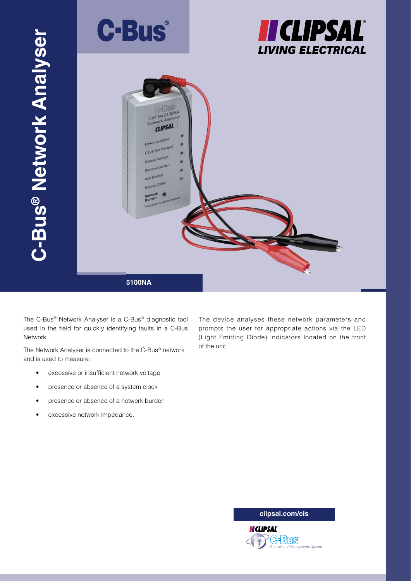

**5100NA**

The C-Bus® Network Analyser is a C-Bus® diagnostic tool used in the field for quickly identifying faults in a C-Bus Network.

The Network Analyser is connected to the C-Bus® network and is used to measure:

- excessive or insufficient network voltage
- presence or absence of a system clock
- presence or absence of a network burden
- excessive network impedance.

The device analyses these network parameters and prompts the user for appropriate actions via the LED (Light Emitting Diode) indicators located on the front of the unit.

**clipsal.com/cis**